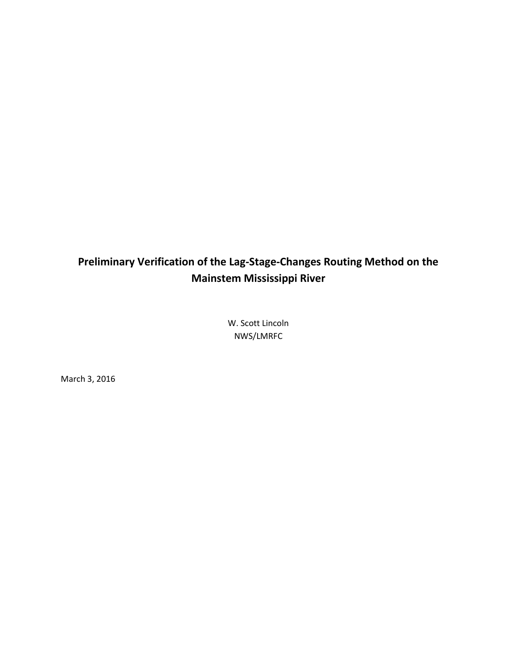# **Preliminary Verification of the Lag-Stage-Changes Routing Method on the Mainstem Mississippi River**

W. Scott Lincoln NWS/LMRFC

March 3, 2016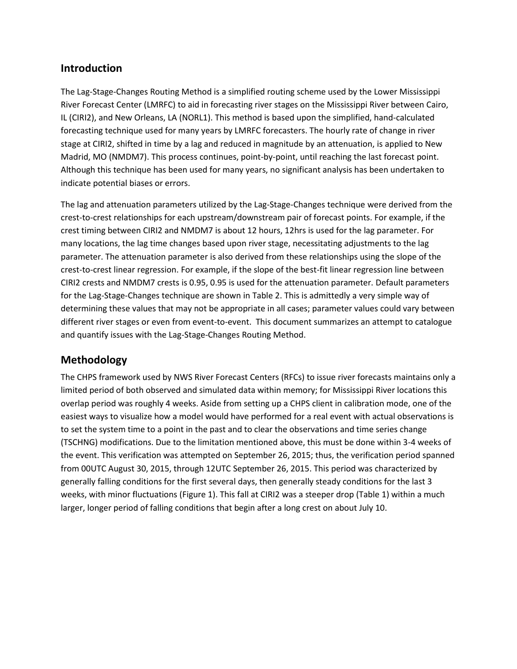#### **Introduction**

The Lag-Stage-Changes Routing Method is a simplified routing scheme used by the Lower Mississippi River Forecast Center (LMRFC) to aid in forecasting river stages on the Mississippi River between Cairo, IL (CIRI2), and New Orleans, LA (NORL1). This method is based upon the simplified, hand-calculated forecasting technique used for many years by LMRFC forecasters. The hourly rate of change in river stage at CIRI2, shifted in time by a lag and reduced in magnitude by an attenuation, is applied to New Madrid, MO (NMDM7). This process continues, point-by-point, until reaching the last forecast point. Although this technique has been used for many years, no significant analysis has been undertaken to indicate potential biases or errors.

The lag and attenuation parameters utilized by the Lag-Stage-Changes technique were derived from the crest-to-crest relationships for each upstream/downstream pair of forecast points. For example, if the crest timing between CIRI2 and NMDM7 is about 12 hours, 12hrs is used for the lag parameter. For many locations, the lag time changes based upon river stage, necessitating adjustments to the lag parameter. The attenuation parameter is also derived from these relationships using the slope of the crest-to-crest linear regression. For example, if the slope of the best-fit linear regression line between CIRI2 crests and NMDM7 crests is 0.95, 0.95 is used for the attenuation parameter. Default parameters for the Lag-Stage-Changes technique are shown in [Table 2.](#page-3-0) This is admittedly a very simple way of determining these values that may not be appropriate in all cases; parameter values could vary between different river stages or even from event-to-event. This document summarizes an attempt to catalogue and quantify issues with the Lag-Stage-Changes Routing Method.

#### **Methodology**

The CHPS framework used by NWS River Forecast Centers (RFCs) to issue river forecasts maintains only a limited period of both observed and simulated data within memory; for Mississippi River locations this overlap period was roughly 4 weeks. Aside from setting up a CHPS client in calibration mode, one of the easiest ways to visualize how a model would have performed for a real event with actual observations is to set the system time to a point in the past and to clear the observations and time series change (TSCHNG) modifications. Due to the limitation mentioned above, this must be done within 3-4 weeks of the event. This verification was attempted on September 26, 2015; thus, the verification period spanned from 00UTC August 30, 2015, through 12UTC September 26, 2015. This period was characterized by generally falling conditions for the first several days, then generally steady conditions for the last 3 weeks, with minor fluctuations [\(Figure 1\)](#page-2-0). This fall at CIRI2 was a steeper drop [\(Table 1\)](#page-2-1) within a much larger, longer period of falling conditions that begin after a long crest on about July 10.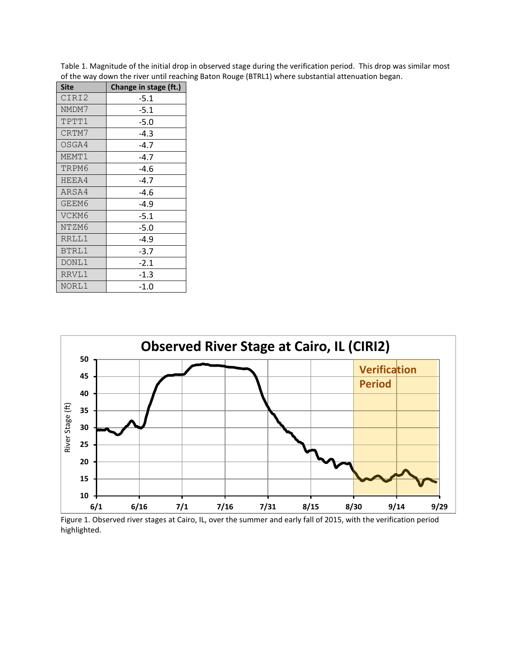| <b>Site</b>  | Change in stage (ft.) |
|--------------|-----------------------|
| CIRI2        | $-5.1$                |
| NMDM7        | $-5.1$                |
| TPTT1        | $-5.0$                |
| CRTM7        | $-4.3$                |
| OSGA4        | $-4.7$                |
| MEMT1        | $-4.7$                |
| TRPM6        | $-4.6$                |
| HEEA4        | $-4.7$                |
| ARSA4        | -4.6                  |
| GEEM6        | $-4.9$                |
| VCKM6        | $-5.1$                |
| NTZM6        | $-5.0$                |
| RRLL1        | $-4.9$                |
| <b>BTRL1</b> | $-3.7$                |
| DONL1        | $-2.1$                |
| RRVL1        | $-1.3$                |
| NORL1        | -1.0                  |

<span id="page-2-1"></span>Table 1. Magnitude of the initial drop in observed stage during the verification period. This drop was similar most of the way down the river until reaching Baton Rouge (BTRL1) where substantial attenuation began.



<span id="page-2-0"></span>Figure 1. Observed river stages at Cairo, IL, over the summer and early fall of 2015, with the verification period highlighted.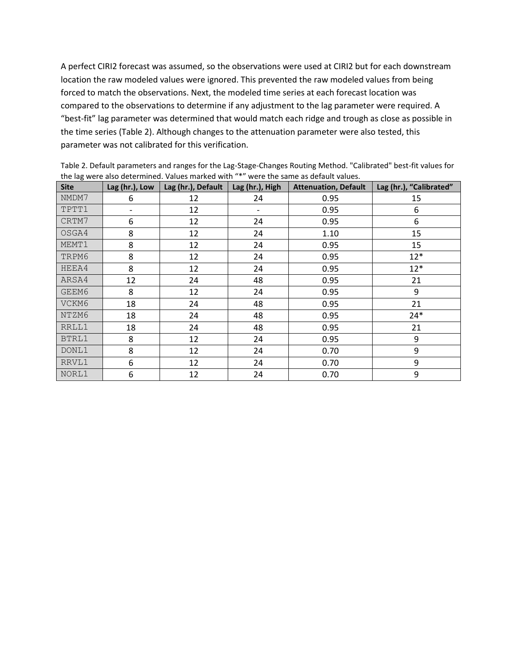A perfect CIRI2 forecast was assumed, so the observations were used at CIRI2 but for each downstream location the raw modeled values were ignored. This prevented the raw modeled values from being forced to match the observations. Next, the modeled time series at each forecast location was compared to the observations to determine if any adjustment to the lag parameter were required. A "best-fit" lag parameter was determined that would match each ridge and trough as close as possible in the time series [\(Table 2\)](#page-3-0). Although changes to the attenuation parameter were also tested, this parameter was not calibrated for this verification.

| <b>Site</b> | Lag (hr.), Low | Lag (hr.), Default | Lag (hr.), High | <b>Attenuation, Default</b> | Lag (hr.), "Calibrated" |
|-------------|----------------|--------------------|-----------------|-----------------------------|-------------------------|
| NMDM7       | 6              | 12                 | 24              | 0.95                        | 15                      |
| TPTT1       |                | 12                 |                 | 0.95                        | 6                       |
| CRTM7       | 6              | 12                 | 24              | 0.95                        | 6                       |
| OSGA4       | 8              | 12                 | 24              | 1.10                        | 15                      |
| MEMT1       | 8              | 12                 | 24              | 0.95                        | 15                      |
| TRPM6       | 8              | 12                 | 24              | 0.95                        | $12*$                   |
| HEEA4       | 8              | 12                 | 24              | 0.95                        | $12*$                   |
| ARSA4       | 12             | 24                 | 48              | 0.95                        | 21                      |
| GEEM6       | 8              | 12                 | 24              | 0.95                        | 9                       |
| VCKM6       | 18             | 24                 | 48<br>0.95      |                             | 21                      |
| NTZM6       | 18             | 24                 | 48<br>0.95      |                             | $24*$                   |
| RRLL1       | 18             | 24                 | 48              | 0.95                        | 21                      |
| BTRL1       | 8              | 12                 | 24              | 0.95                        | 9                       |
| DONL1       | 8              | 12                 | 24              | 0.70                        | 9                       |
| RRVL1       | 6              | 12                 | 24              | 0.70                        | 9                       |
| NORL1       | 6              | 12                 | 24              | 0.70                        | 9                       |

<span id="page-3-0"></span>Table 2. Default parameters and ranges for the Lag-Stage-Changes Routing Method. "Calibrated" best-fit values for the lag were also determined. Values marked with "\*" were the same as default values.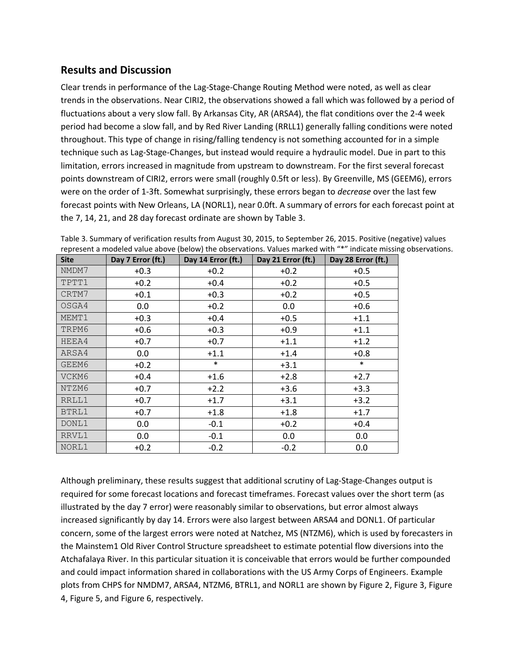#### **Results and Discussion**

Clear trends in performance of the Lag-Stage-Change Routing Method were noted, as well as clear trends in the observations. Near CIRI2, the observations showed a fall which was followed by a period of fluctuations about a very slow fall. By Arkansas City, AR (ARSA4), the flat conditions over the 2-4 week period had become a slow fall, and by Red River Landing (RRLL1) generally falling conditions were noted throughout. This type of change in rising/falling tendency is not something accounted for in a simple technique such as Lag-Stage-Changes, but instead would require a hydraulic model. Due in part to this limitation, errors increased in magnitude from upstream to downstream. For the first several forecast points downstream of CIRI2, errors were small (roughly 0.5ft or less). By Greenville, MS (GEEM6), errors were on the order of 1-3ft. Somewhat surprisingly, these errors began to *decrease* over the last few forecast points with New Orleans, LA (NORL1), near 0.0ft. A summary of errors for each forecast point at the 7, 14, 21, and 28 day forecast ordinate are shown by [Table 3.](#page-4-0)

| <b>Site</b> | Day 7 Error (ft.) | Day 14 Error (ft.) | Day 21 Error (ft.) | Day 28 Error (ft.) |
|-------------|-------------------|--------------------|--------------------|--------------------|
| NMDM7       | $+0.3$            | $+0.2$             | $+0.2$             | $+0.5$             |
| TPTT1       | $+0.2$            | $+0.4$             | $+0.2$             | $+0.5$             |
| CRTM7       | $+0.1$            | $+0.3$             | $+0.2$             | $+0.5$             |
| OSGA4       | 0.0               | $+0.2$             | 0.0                | $+0.6$             |
| MEMT1       | $+0.3$            | $+0.4$             | $+0.5$             | $+1.1$             |
| TRPM6       | $+0.6$            | $+0.3$             | $+0.9$             | $+1.1$             |
| HEEA4       | $+0.7$            | $+0.7$             | $+1.1$             | $+1.2$             |
| ARSA4       | 0.0               | $+1.1$             | $+1.4$             | $+0.8$             |
| GEEM6       | $+0.2$            | $\ast$             | $+3.1$             | $\ast$             |
| VCKM6       | $+0.4$            | $+1.6$             | $+2.8$             | $+2.7$             |
| NTZM6       | $+0.7$            | $+2.2$             | $+3.6$             | $+3.3$             |
| RRLL1       | $+0.7$            | $+1.7$             | $+3.1$             | $+3.2$             |
| BTRL1       | $+0.7$            | $+1.8$             | $+1.8$             | $+1.7$             |
| DONL1       | 0.0               | $-0.1$             | $+0.2$             | $+0.4$             |
| RRVL1       | 0.0               | $-0.1$             | 0.0                | 0.0                |
| NORL1       | $+0.2$            | $-0.2$             | $-0.2$             | 0.0                |

<span id="page-4-0"></span>Table 3. Summary of verification results from August 30, 2015, to September 26, 2015. Positive (negative) values represent a modeled value above (below) the observations. Values marked with "\*" indicate missing observations.

Although preliminary, these results suggest that additional scrutiny of Lag-Stage-Changes output is required for some forecast locations and forecast timeframes. Forecast values over the short term (as illustrated by the day 7 error) were reasonably similar to observations, but error almost always increased significantly by day 14. Errors were also largest between ARSA4 and DONL1. Of particular concern, some of the largest errors were noted at Natchez, MS (NTZM6), which is used by forecasters in the Mainstem1 Old River Control Structure spreadsheet to estimate potential flow diversions into the Atchafalaya River. In this particular situation it is conceivable that errors would be further compounded and could impact information shared in collaborations with the US Army Corps of Engineers. Example plots from CHPS for NMDM7, ARSA4, NTZM6, BTRL1, and NORL1 are shown b[y Figure 2,](#page-6-0) [Figure 3,](#page-6-1) [Figure](#page-7-0)  [4,](#page-7-0) [Figure 5,](#page-7-1) and [Figure 6,](#page-8-0) respectively.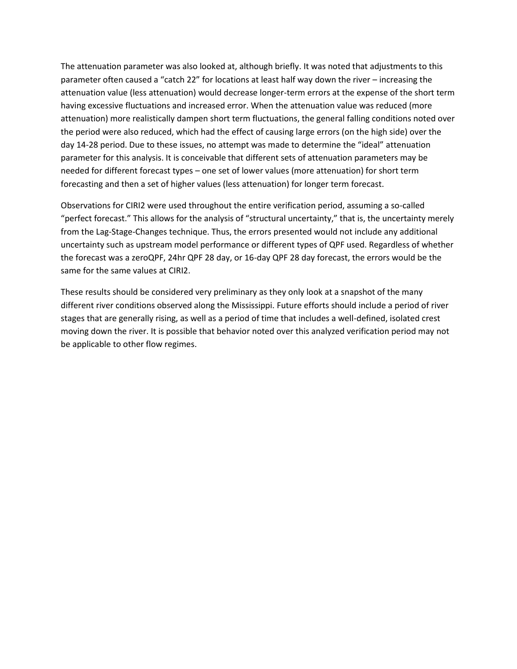The attenuation parameter was also looked at, although briefly. It was noted that adjustments to this parameter often caused a "catch 22" for locations at least half way down the river – increasing the attenuation value (less attenuation) would decrease longer-term errors at the expense of the short term having excessive fluctuations and increased error. When the attenuation value was reduced (more attenuation) more realistically dampen short term fluctuations, the general falling conditions noted over the period were also reduced, which had the effect of causing large errors (on the high side) over the day 14-28 period. Due to these issues, no attempt was made to determine the "ideal" attenuation parameter for this analysis. It is conceivable that different sets of attenuation parameters may be needed for different forecast types – one set of lower values (more attenuation) for short term forecasting and then a set of higher values (less attenuation) for longer term forecast.

Observations for CIRI2 were used throughout the entire verification period, assuming a so-called "perfect forecast." This allows for the analysis of "structural uncertainty," that is, the uncertainty merely from the Lag-Stage-Changes technique. Thus, the errors presented would not include any additional uncertainty such as upstream model performance or different types of QPF used. Regardless of whether the forecast was a zeroQPF, 24hr QPF 28 day, or 16-day QPF 28 day forecast, the errors would be the same for the same values at CIRI2.

These results should be considered very preliminary as they only look at a snapshot of the many different river conditions observed along the Mississippi. Future efforts should include a period of river stages that are generally rising, as well as a period of time that includes a well-defined, isolated crest moving down the river. It is possible that behavior noted over this analyzed verification period may not be applicable to other flow regimes.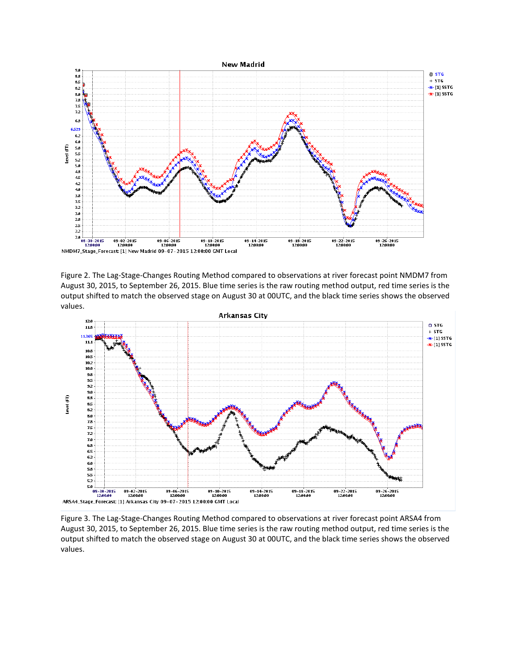

<span id="page-6-0"></span>Figure 2. The Lag-Stage-Changes Routing Method compared to observations at river forecast point NMDM7 from August 30, 2015, to September 26, 2015. Blue time series is the raw routing method output, red time series is the output shifted to match the observed stage on August 30 at 00UTC, and the black time series shows the observed values.



<span id="page-6-1"></span>Figure 3. The Lag-Stage-Changes Routing Method compared to observations at river forecast point ARSA4 from August 30, 2015, to September 26, 2015. Blue time series is the raw routing method output, red time series is the output shifted to match the observed stage on August 30 at 00UTC, and the black time series shows the observed values.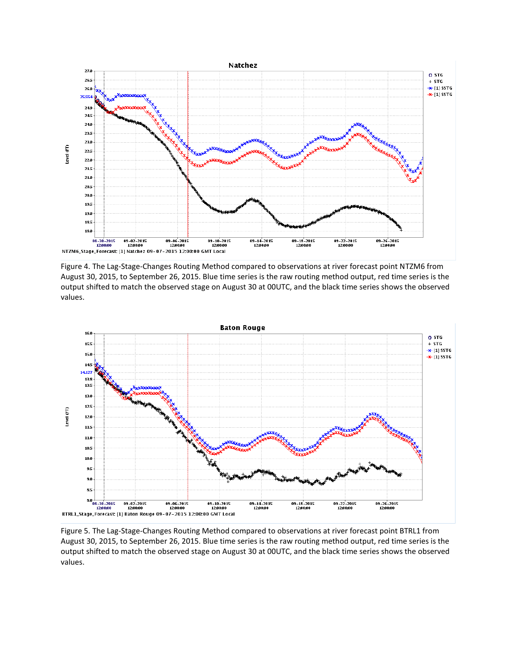

<span id="page-7-0"></span>Figure 4. The Lag-Stage-Changes Routing Method compared to observations at river forecast point NTZM6 from August 30, 2015, to September 26, 2015. Blue time series is the raw routing method output, red time series is the output shifted to match the observed stage on August 30 at 00UTC, and the black time series shows the observed values.



<span id="page-7-1"></span>Figure 5. The Lag-Stage-Changes Routing Method compared to observations at river forecast point BTRL1 from August 30, 2015, to September 26, 2015. Blue time series is the raw routing method output, red time series is the output shifted to match the observed stage on August 30 at 00UTC, and the black time series shows the observed values.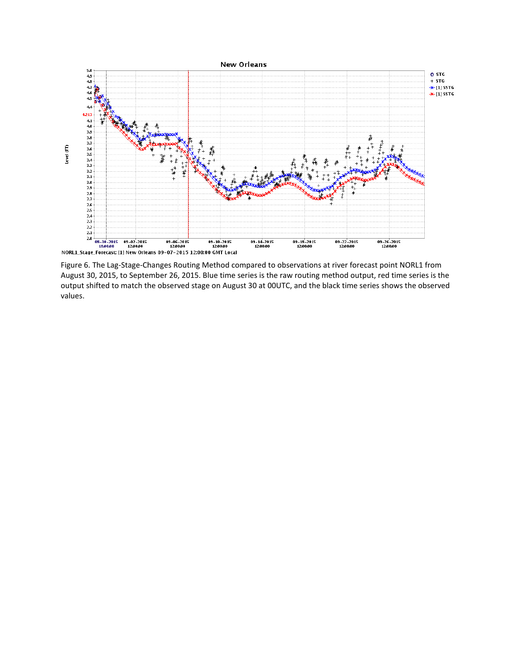

<span id="page-8-0"></span>Figure 6. The Lag-Stage-Changes Routing Method compared to observations at river forecast point NORL1 from August 30, 2015, to September 26, 2015. Blue time series is the raw routing method output, red time series is the output shifted to match the observed stage on August 30 at 00UTC, and the black time series shows the observed values.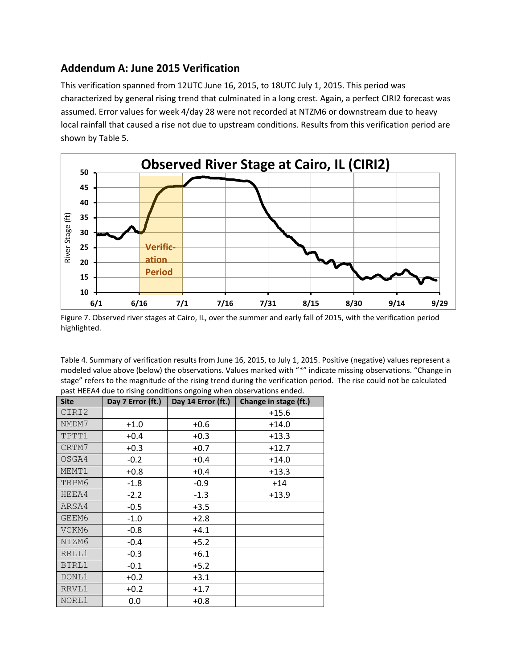### **Addendum A: June 2015 Verification**

This verification spanned from 12UTC June 16, 2015, to 18UTC July 1, 2015. This period was characterized by general rising trend that culminated in a long crest. Again, a perfect CIRI2 forecast was assumed. Error values for week 4/day 28 were not recorded at NTZM6 or downstream due to heavy local rainfall that caused a rise not due to upstream conditions. Results from this verification period are shown by [Table 5.](#page-10-0)



Figure 7. Observed river stages at Cairo, IL, over the summer and early fall of 2015, with the verification period highlighted.

Table 4. Summary of verification results from June 16, 2015, to July 1, 2015. Positive (negative) values represent a modeled value above (below) the observations. Values marked with "\*" indicate missing observations. "Change in stage" refers to the magnitude of the rising trend during the verification period. The rise could not be calculated past HEEA4 due to rising conditions ongoing when observations ended.

| <b>Site</b> | Day 7 Error (ft.) | Day 14 Error (ft.) | Change in stage (ft.) |  |  |
|-------------|-------------------|--------------------|-----------------------|--|--|
| CIRI2       |                   |                    | $+15.6$               |  |  |
| NMDM7       | $+1.0$            | $+0.6$             | $+14.0$               |  |  |
| TPTT1       | $+0.4$            | $+0.3$             | $+13.3$               |  |  |
| CRTM7       | $+0.3$            | $+0.7$             | $+12.7$               |  |  |
| OSGA4       | $-0.2$            | $+0.4$             | $+14.0$               |  |  |
| MEMT1       | $+0.8$            | $+0.4$             | $+13.3$               |  |  |
| TRPM6       | $-1.8$            | $-0.9$             | $+14$                 |  |  |
| HEEA4       | $-2.2$            | $-1.3$             | $+13.9$               |  |  |
| ARSA4       | $-0.5$            | $+3.5$             |                       |  |  |
| GEEM6       | $-1.0$            | $+2.8$             |                       |  |  |
| VCKM6       | $-0.8$            | $+4.1$             |                       |  |  |
| NTZM6       | $-0.4$            | $+5.2$             |                       |  |  |
| RRLL1       | $-0.3$            | $+6.1$             |                       |  |  |
| BTRL1       | $-0.1$            | $+5.2$             |                       |  |  |
| DONL1       | $+0.2$            | $+3.1$             |                       |  |  |
| RRVL1       | $+0.2$            | $+1.7$             |                       |  |  |
| NORL1       | 0.0               | $+0.8$             |                       |  |  |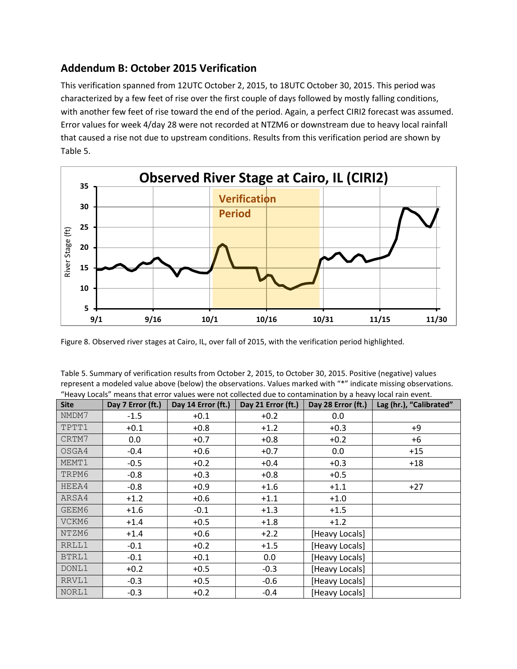### **Addendum B: October 2015 Verification**

This verification spanned from 12UTC October 2, 2015, to 18UTC October 30, 2015. This period was characterized by a few feet of rise over the first couple of days followed by mostly falling conditions, with another few feet of rise toward the end of the period. Again, a perfect CIRI2 forecast was assumed. Error values for week 4/day 28 were not recorded at NTZM6 or downstream due to heavy local rainfall that caused a rise not due to upstream conditions. Results from this verification period are shown by [Table 5.](#page-10-0)



Figure 8. Observed river stages at Cairo, IL, over fall of 2015, with the verification period highlighted.

<span id="page-10-0"></span>

| Table 5. Summary of verification results from October 2, 2015, to October 30, 2015. Positive (negative) values  |
|-----------------------------------------------------------------------------------------------------------------|
| represent a modeled value above (below) the observations. Values marked with "*" indicate missing observations. |
| "Heavy Locals" means that error values were not collected due to contamination by a heavy local rain event.     |

| <b>Site</b> | Day 7 Error (ft.) | Day 14 Error (ft.) | Day 21 Error (ft.) | Day 28 Error (ft.) | Lag (hr.), "Calibrated" |
|-------------|-------------------|--------------------|--------------------|--------------------|-------------------------|
| NMDM7       | $-1.5$            | $+0.1$             | $+0.2$             | 0.0                |                         |
| TPTT1       | $+0.1$            | $+0.8$             | $+1.2$             | $+0.3$             | $+9$                    |
| CRTM7       | 0.0               | $+0.7$             | $+0.8$             | $+0.2$             | +6                      |
| OSGA4       | $-0.4$            | $+0.6$             | $+0.7$             | 0.0                | $+15$                   |
| MEMT1       | $-0.5$            | $+0.2$             | $+0.4$<br>$+0.3$   |                    | $+18$                   |
| TRPM6       | $-0.8$            | $+0.3$             | $+0.8$             | $+0.5$             |                         |
| HEEA4       | $-0.8$            | $+0.9$             | $+1.6$             | $+1.1$             | $+27$                   |
| ARSA4       | $+1.2$            | $+0.6$             | $+1.1$             | $+1.0$             |                         |
| GEEM6       | $+1.6$            | $-0.1$             | $+1.3$             | $+1.5$             |                         |
| VCKM6       | $+1.4$            | $+0.5$             | $+1.8$             | $+1.2$             |                         |
| NTZM6       | $+1.4$            | $+0.6$             | $+2.2$             | [Heavy Locals]     |                         |
| RRLL1       | $-0.1$            | $+0.2$             | $+1.5$             | [Heavy Locals]     |                         |
| BTRL1       | $-0.1$            | $+0.1$             | 0.0                | [Heavy Locals]     |                         |
| DONL1       | $+0.2$            | $+0.5$             | $-0.3$             | [Heavy Locals]     |                         |
| RRVL1       | $-0.3$            | $+0.5$             | $-0.6$             | [Heavy Locals]     |                         |
| NORL1       | $-0.3$            | $+0.2$             | $-0.4$             | [Heavy Locals]     |                         |